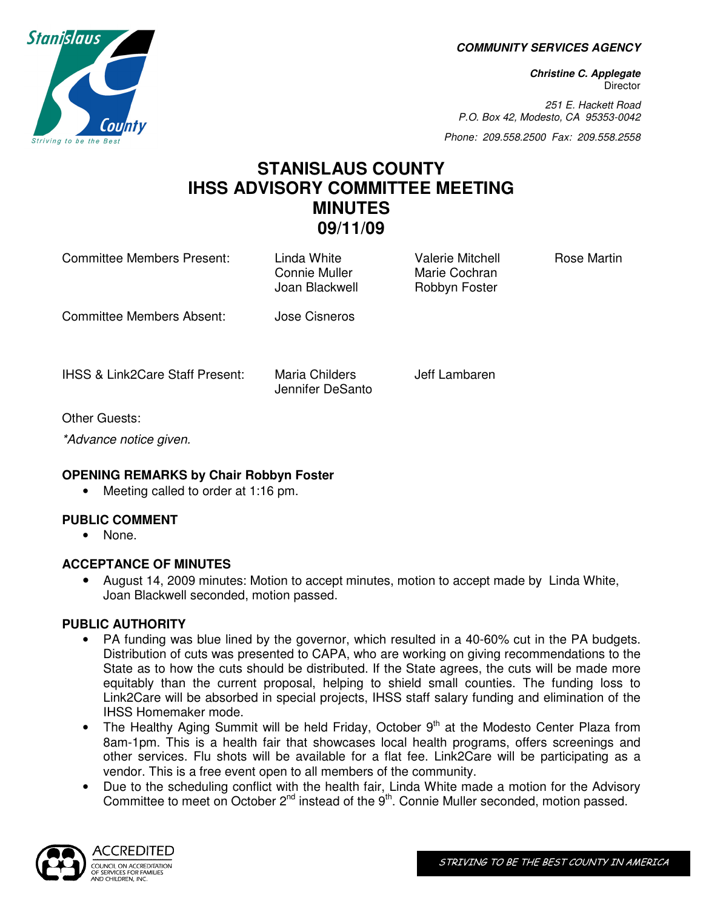**COMMUNITY SERVICES AGENCY** 

**Christine C. Applegate Director** 

251 E. Hackett Road P.O. Box 42, Modesto, CA 95353-0042

Phone: 209.558.2500 Fax: 209.558.2558

# **STANISLAUS COUNTY IHSS ADVISORY COMMITTEE MEETING MINUTES 09/11/09**

| Committee Members Present:                 | Linda White<br>Connie Muller<br>Joan Blackwell | Valerie Mitchell<br>Marie Cochran<br>Robbyn Foster | Rose Martin |
|--------------------------------------------|------------------------------------------------|----------------------------------------------------|-------------|
| Committee Members Absent:                  | Jose Cisneros                                  |                                                    |             |
| <b>IHSS &amp; Link2Care Staff Present:</b> | Maria Childers<br>Jennifer DeSanto             | Jeff Lambaren                                      |             |
| Other Guests:                              |                                                |                                                    |             |

\*Advance notice given.

# **OPENING REMARKS by Chair Robbyn Foster**

• Meeting called to order at 1:16 pm.

# **PUBLIC COMMENT**

• None.

#### **ACCEPTANCE OF MINUTES**

• August 14, 2009 minutes: Motion to accept minutes, motion to accept made by Linda White, Joan Blackwell seconded, motion passed.

# **PUBLIC AUTHORITY**

- PA funding was blue lined by the governor, which resulted in a 40-60% cut in the PA budgets. Distribution of cuts was presented to CAPA, who are working on giving recommendations to the State as to how the cuts should be distributed. If the State agrees, the cuts will be made more equitably than the current proposal, helping to shield small counties. The funding loss to Link2Care will be absorbed in special projects, IHSS staff salary funding and elimination of the IHSS Homemaker mode.
- The Healthy Aging Summit will be held Friday, October  $9<sup>th</sup>$  at the Modesto Center Plaza from 8am-1pm. This is a health fair that showcases local health programs, offers screenings and other services. Flu shots will be available for a flat fee. Link2Care will be participating as a vendor. This is a free event open to all members of the community.
- Due to the scheduling conflict with the health fair, Linda White made a motion for the Advisory Committee to meet on October 2<sup>nd</sup> instead of the 9<sup>th</sup>. Connie Muller seconded, motion passed.